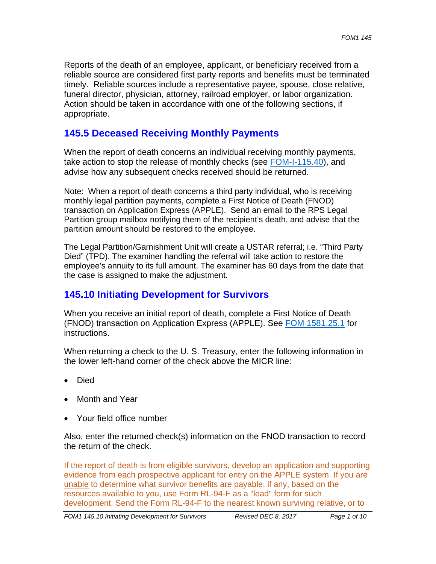Reports of the death of an employee, applicant, or beneficiary received from a reliable source are considered first party reports and benefits must be terminated timely. Reliable sources include a representative payee, spouse, close relative, funeral director, physician, attorney, railroad employer, or labor organization. Action should be taken in accordance with one of the following sections, if appropriate.

# **145.5 Deceased Receiving Monthly Payments**

When the report of death concerns an individual receiving monthly payments, take action to stop the release of monthly checks (see FOM-I-115.40), and advise how any subsequent checks received should be returned.

Note: When a report of death concerns a third party individual, who is receiving monthly legal partition payments, complete a First Notice of Death (FNOD) transaction on Application Express (APPLE). Send an email to the RPS Legal Partition group mailbox notifying them of the recipient's death, and advise that the partition amount should be restored to the employee.

 the case is assigned to make the adjustment. The Legal Partition/Garnishment Unit will create a USTAR referral; i.e. "Third Party Died" (TPD). The examiner handling the referral will take action to restore the employee's annuity to its full amount. The examiner has 60 days from the date that

# **145.10 Initiating Development for Survivors**

When you receive an initial report of death, complete a First Notice of Death (FNOD) transaction on Application Express (APPLE). See FOM 1581.25.1 for instructions.

When returning a check to the U. S. Treasury, enter the following information in the lower left-hand corner of the check above the MICR line:

- Died
- Month and Year
- Your field office number

Also, enter the returned check(s) information on the FNOD transaction to record the return of the check.

If the report of death is from eligible survivors, develop an application and supporting evidence from each prospective applicant for entry on the APPLE system. If you are unable to determine what survivor benefits are payable, if any, based on the resources available to you, use Form RL-94-F as a "lead" form for such development. Send the Form RL-94-F to the nearest known surviving relative, or to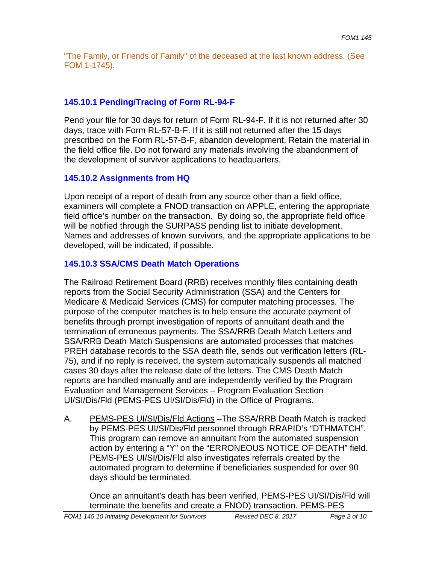"The Family, or Friends of Family" of the deceased at the last known address. (See FOM 1-1745).

### **145.10.1 Pending/Tracing of Form RL-94-F**

Pend your file for 30 days for return of Form RL-94-F. If it is not returned after 30 days, trace with Form RL-57-B-F. If it is still not returned after the 15 days prescribed on the Form RL-57-B-F, abandon development. Retain the material in the field office file. Do not forward any materials involving the abandonment of the development of survivor applications to headquarters.

#### **145.10.2 Assignments from HQ**

Upon receipt of a report of death from any source other than a field office, examiners will complete a FNOD transaction on APPLE, entering the appropriate field office's number on the transaction. By doing so, the appropriate field office will be notified through the SURPASS pending list to initiate development. Names and addresses of known survivors, and the appropriate applications to be developed, will be indicated, if possible.

### **145.10.3 SSA/CMS Death Match Operations**

The Railroad Retirement Board (RRB) receives monthly files containing death reports from the Social Security Administration (SSA) and the Centers for Medicare & Medicaid Services (CMS) for computer matching processes. The purpose of the computer matches is to help ensure the accurate payment of benefits through prompt investigation of reports of annuitant death and the termination of erroneous payments. The SSA/RRB Death Match Letters and SSA/RRB Death Match Suspensions are automated processes that matches PREH database records to the SSA death file, sends out verification letters (RL-75), and if no reply is received, the system automatically suspends all matched cases 30 days after the release date of the letters. The CMS Death Match reports are handled manually and are independently verified by the Program Evaluation and Management Services – Program Evaluation Section UI/SI/Dis/Fld (PEMS-PES UI/SI/Dis/Fld) in the Office of Programs.

A. PEMS-PES UI/SI/Dis/Fld Actions –The SSA/RRB Death Match is tracked by PEMS-PES UI/SI/Dis/Fld personnel through RRAPID's "DTHMATCH". This program can remove an annuitant from the automated suspension action by entering a "Y" on the "ERRONEOUS NOTICE OF DEATH" field. PEMS-PES UI/SI/Dis/Fld also investigates referrals created by the automated program to determine if beneficiaries suspended for over 90 days should be terminated.

Once an annuitant's death has been verified, PEMS-PES UI/SI/Dis/Fld will terminate the benefits and create a FNOD) transaction. PEMS-PES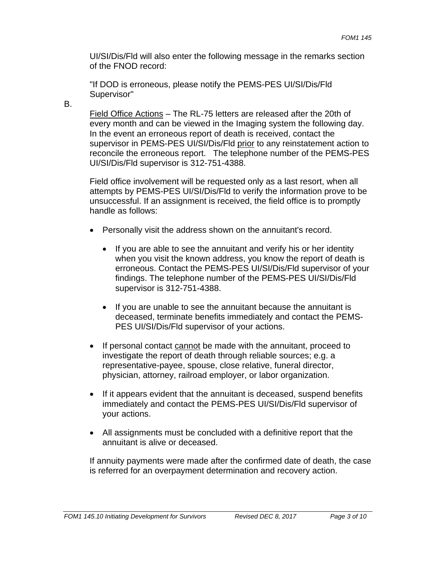UI/SI/Dis/Fld will also enter the following message in the remarks section of the FNOD record:

 Supervisor" B. "If DOD is erroneous, please notify the PEMS-PES UI/SI/Dis/Fld

Field Office Actions – The RL-75 letters are released after the 20th of every month and can be viewed in the Imaging system the following day. In the event an erroneous report of death is received, contact the supervisor in PEMS-PES UI/SI/Dis/Fld prior to any reinstatement action to reconcile the erroneous report. The telephone number of the PEMS-PES UI/SI/Dis/Fld supervisor is 312-751-4388.

Field office involvement will be requested only as a last resort, when all attempts by PEMS-PES UI/SI/Dis/Fld to verify the information prove to be unsuccessful. If an assignment is received, the field office is to promptly handle as follows:

- Personally visit the address shown on the annuitant's record.
	- If you are able to see the annuitant and verify his or her identity when you visit the known address, you know the report of death is erroneous. Contact the PEMS-PES UI/SI/Dis/Fld supervisor of your findings. The telephone number of the PEMS-PES UI/SI/Dis/Fld supervisor is 312-751-4388.
	- If you are unable to see the annuitant because the annuitant is deceased, terminate benefits immediately and contact the PEMS-PES UI/SI/Dis/Fld supervisor of your actions.
- If personal contact cannot be made with the annuitant, proceed to investigate the report of death through reliable sources; e.g. a representative-payee, spouse, close relative, funeral director, physician, attorney, railroad employer, or labor organization.
- If it appears evident that the annuitant is deceased, suspend benefits immediately and contact the PEMS-PES UI/SI/Dis/Fld supervisor of your actions.
- All assignments must be concluded with a definitive report that the annuitant is alive or deceased.

If annuity payments were made after the confirmed date of death, the case is referred for an overpayment determination and recovery action.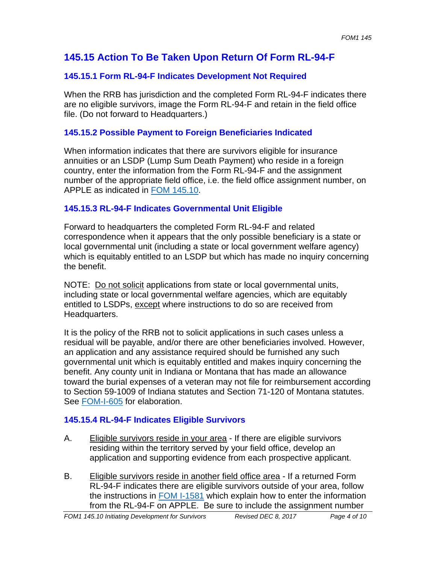# **145.15 Action To Be Taken Upon Return Of Form RL-94-F**

## **145.15.1 Form RL-94-F Indicates Development Not Required**

When the RRB has jurisdiction and the completed Form RL-94-F indicates there are no eligible survivors, image the Form RL-94-F and retain in the field office file. (Do not forward to Headquarters.)

### **145.15.2 Possible Payment to Foreign Beneficiaries Indicated**

When information indicates that there are survivors eligible for insurance annuities or an LSDP (Lump Sum Death Payment) who reside in a foreign country, enter the information from the Form RL-94-F and the assignment number of the appropriate field office, i.e. the field office assignment number, on APPLE as indicated in FOM 145.10.

## **145.15.3 RL-94-F Indicates Governmental Unit Eligible**

Forward to headquarters the completed Form RL-94-F and related correspondence when it appears that the only possible beneficiary is a state or local governmental unit (including a state or local government welfare agency) which is equitably entitled to an LSDP but which has made no inquiry concerning the benefit.

NOTE: Do not solicit applications from state or local governmental units, including state or local governmental welfare agencies, which are equitably entitled to LSDPs, except where instructions to do so are received from Headquarters.

It is the policy of the RRB not to solicit applications in such cases unless a residual will be payable, and/or there are other beneficiaries involved. However, an application and any assistance required should be furnished any such governmental unit which is equitably entitled and makes inquiry concerning the benefit. Any county unit in Indiana or Montana that has made an allowance toward the burial expenses of a veteran may not file for reimbursement according to Section 59-1009 of Indiana statutes and Section 71-120 of Montana statutes. See FOM-I-605 for elaboration.

## **145.15.4 RL-94-F Indicates Eligible Survivors**

- A. Eligible survivors reside in your area If there are eligible survivors residing within the territory served by your field office, develop an application and supporting evidence from each prospective applicant.
- B. Eligible survivors reside in another field office area If a returned Form RL-94-F indicates there are eligible survivors outside of your area, follow the instructions in FOM I-1581 which explain how to enter the information from the RL-94-F on APPLE. Be sure to include the assignment number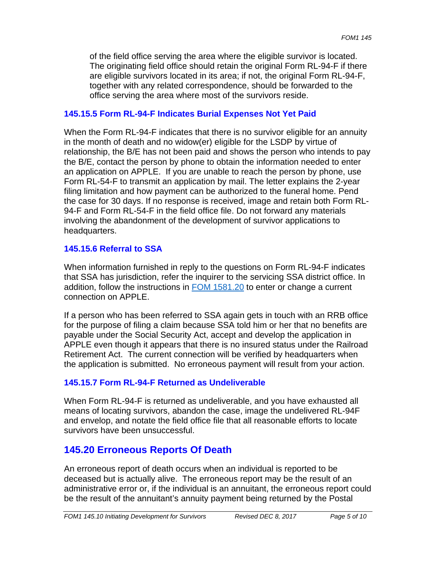of the field office serving the area where the eligible survivor is located. The originating field office should retain the original Form RL-94-F if there are eligible survivors located in its area; if not, the original Form RL-94-F, together with any related correspondence, should be forwarded to the office serving the area where most of the survivors reside.

### **145.15.5 Form RL-94-F Indicates Burial Expenses Not Yet Paid**

When the Form RL-94-F indicates that there is no survivor eligible for an annuity in the month of death and no widow(er) eligible for the LSDP by virtue of relationship, the B/E has not been paid and shows the person who intends to pay the B/E, contact the person by phone to obtain the information needed to enter an application on APPLE. If you are unable to reach the person by phone, use Form RL-54-F to transmit an application by mail. The letter explains the 2-year filing limitation and how payment can be authorized to the funeral home. Pend the case for 30 days. If no response is received, image and retain both Form RL-94-F and Form RL-54-F in the field office file. Do not forward any materials involving the abandonment of the development of survivor applications to headquarters.

### **145.15.6 Referral to SSA**

When information furnished in reply to the questions on Form RL-94-F indicates that SSA has jurisdiction, refer the inquirer to the servicing SSA district office. In addition, follow the instructions in FOM 1581.20 to enter or change a current connection on APPLE.

If a person who has been referred to SSA again gets in touch with an RRB office for the purpose of filing a claim because SSA told him or her that no benefits are payable under the Social Security Act, accept and develop the application in APPLE even though it appears that there is no insured status under the Railroad Retirement Act. The current connection will be verified by headquarters when the application is submitted. No erroneous payment will result from your action.

## **145.15.7 Form RL-94-F Returned as Undeliverable**

When Form RL-94-F is returned as undeliverable, and you have exhausted all means of locating survivors, abandon the case, image the undelivered RL-94F and envelop, and notate the field office file that all reasonable efforts to locate survivors have been unsuccessful.

# **145.20 Erroneous Reports Of Death**

An erroneous report of death occurs when an individual is reported to be deceased but is actually alive. The erroneous report may be the result of an administrative error or, if the individual is an annuitant, the erroneous report could be the result of the annuitant's annuity payment being returned by the Postal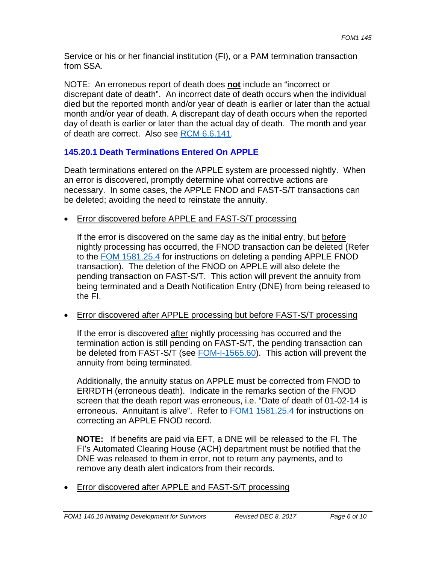Service or his or her financial institution (FI), or a PAM termination transaction from SSA.

NOTE: An erroneous report of death does **not** include an "incorrect or discrepant date of death". An incorrect date of death occurs when the individual died but the reported month and/or year of death is earlier or later than the actual month and/or year of death. A discrepant day of death occurs when the reported day of death is earlier or later than the actual day of death. The month and year of death are correct. Also see RCM 6.6.141.

## **145.20.1 Death Terminations Entered On APPLE**

Death terminations entered on the APPLE system are processed nightly. When an error is discovered, promptly determine what corrective actions are necessary. In some cases, the APPLE FNOD and FAST-S/T transactions can be deleted; avoiding the need to reinstate the annuity.

• Error discovered before APPLE and FAST-S/T processing

If the error is discovered on the same day as the initial entry, but before nightly processing has occurred, the FNOD transaction can be deleted (Refer to the FOM 1581.25.4 for instructions on deleting a pending APPLE FNOD transaction). The deletion of the FNOD on APPLE will also delete the pending transaction on FAST-S/T. This action will prevent the annuity from being terminated and a Death Notification Entry (DNE) from being released to the FI.

Error discovered after APPLE processing but before FAST-S/T processing

If the error is discovered after nightly processing has occurred and the termination action is still pending on FAST-S/T, the pending transaction can be deleted from FAST-S/T (see FOM-I-1565.60). This action will prevent the annuity from being terminated.

Additionally, the annuity status on APPLE must be corrected from FNOD to ERRDTH (erroneous death). Indicate in the remarks section of the FNOD screen that the death report was erroneous, i.e. "Date of death of 01-02-14 is erroneous. Annuitant is alive". Refer to FOM1 1581.25.4 for instructions on correcting an APPLE FNOD record.

**NOTE:** If benefits are paid via EFT, a DNE will be released to the FI. The FI's Automated Clearing House (ACH) department must be notified that the DNE was released to them in error, not to return any payments, and to remove any death alert indicators from their records.

• Error discovered after APPLE and FAST-S/T processing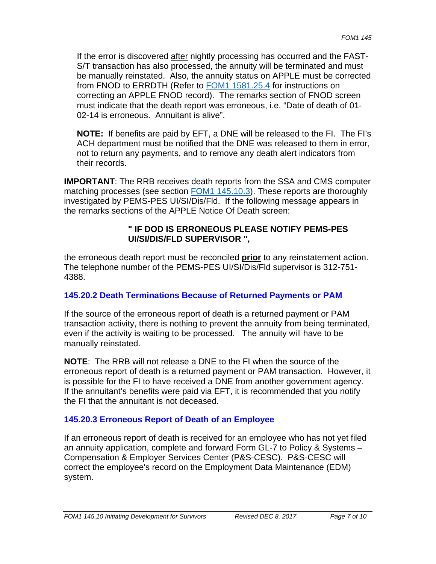If the error is discovered after nightly processing has occurred and the FAST-S/T transaction has also processed, the annuity will be terminated and must be manually reinstated. Also, the annuity status on APPLE must be corrected from FNOD to ERRDTH (Refer to FOM1 1581.25.4 for instructions on correcting an APPLE FNOD record). The remarks section of FNOD screen must indicate that the death report was erroneous, i.e. "Date of death of 01- 02-14 is erroneous. Annuitant is alive".

**NOTE:** If benefits are paid by EFT, a DNE will be released to the FI. The FI's ACH department must be notified that the DNE was released to them in error, not to return any payments, and to remove any death alert indicators from their records.

**IMPORTANT**: The RRB receives death reports from the SSA and CMS computer matching processes (see section **FOM1 145.10.3**). These reports are thoroughly investigated by PEMS-PES UI/SI/Dis/Fld. If the following message appears in the remarks sections of the APPLE Notice Of Death screen:

#### **" IF DOD IS ERRONEOUS PLEASE NOTIFY PEMS-PES UI/SI/DIS/FLD SUPERVISOR ",**

the erroneous death report must be reconciled **prior** to any reinstatement action. The telephone number of the PEMS-PES UI/SI/Dis/Fld supervisor is 312-751- 4388.

## **145.20.2 Death Terminations Because of Returned Payments or PAM**

If the source of the erroneous report of death is a returned payment or PAM transaction activity, there is nothing to prevent the annuity from being terminated, even if the activity is waiting to be processed. The annuity will have to be manually reinstated.

**NOTE**: The RRB will not release a DNE to the FI when the source of the erroneous report of death is a returned payment or PAM transaction. However, it is possible for the FI to have received a DNE from another government agency. If the annuitant's benefits were paid via EFT, it is recommended that you notify the FI that the annuitant is not deceased.

## **145.20.3 Erroneous Report of Death of an Employee**

If an erroneous report of death is received for an employee who has not yet filed an annuity application, complete and forward Form GL-7 to Policy & Systems – Compensation & Employer Services Center (P&S-CESC). P&S-CESC will correct the employee's record on the Employment Data Maintenance (EDM) system.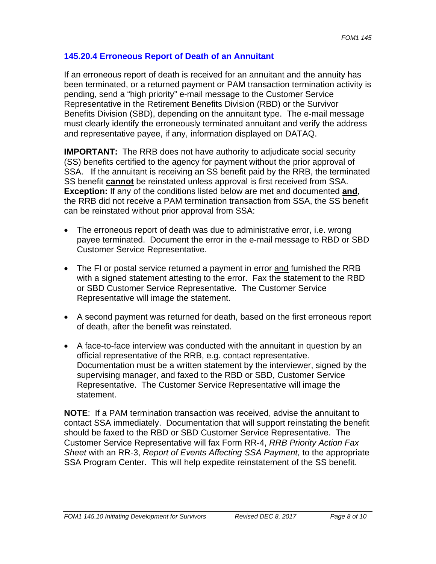#### **145.20.4 Erroneous Report of Death of an Annuitant**

 and representative payee, if any, information displayed on DATAQ. If an erroneous report of death is received for an annuitant and the annuity has been terminated, or a returned payment or PAM transaction termination activity is pending, send a "high priority" e-mail message to the Customer Service Representative in the Retirement Benefits Division (RBD) or the Survivor Benefits Division (SBD), depending on the annuitant type. The e-mail message must clearly identify the erroneously terminated annuitant and verify the address

**IMPORTANT:** The RRB does not have authority to adjudicate social security (SS) benefits certified to the agency for payment without the prior approval of SSA. If the annuitant is receiving an SS benefit paid by the RRB, the terminated SS benefit **cannot** be reinstated unless approval is first received from SSA. **Exception:** If any of the conditions listed below are met and documented **and**, the RRB did not receive a PAM termination transaction from SSA, the SS benefit can be reinstated without prior approval from SSA:

- The erroneous report of death was due to administrative error, i.e. wrong payee terminated. Document the error in the e-mail message to RBD or SBD Customer Service Representative.
- The FI or postal service returned a payment in error and furnished the RRB with a signed statement attesting to the error. Fax the statement to the RBD or SBD Customer Service Representative. The Customer Service Representative will image the statement.
- A second payment was returned for death, based on the first erroneous report of death, after the benefit was reinstated.
- A face-to-face interview was conducted with the annuitant in question by an official representative of the RRB, e.g. contact representative. Documentation must be a written statement by the interviewer, signed by the supervising manager, and faxed to the RBD or SBD, Customer Service Representative. The Customer Service Representative will image the statement.

**NOTE**: If a PAM termination transaction was received, advise the annuitant to contact SSA immediately. Documentation that will support reinstating the benefit should be faxed to the RBD or SBD Customer Service Representative. The Customer Service Representative will fax Form RR-4, *RRB Priority Action Fax Sheet* with an RR-3, *Report of Events Affecting SSA Payment,* to the appropriate SSA Program Center. This will help expedite reinstatement of the SS benefit.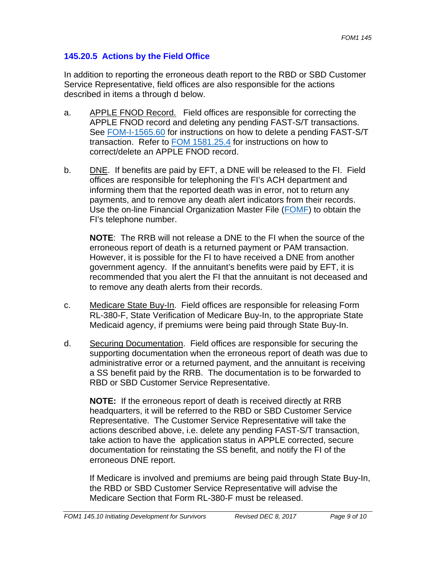### **145.20.5 Actions by the Field Office**

In addition to reporting the erroneous death report to the RBD or SBD Customer Service Representative, field offices are also responsible for the actions described in items a through d below.

- a. APPLE FNOD Record. Field offices are responsible for correcting the APPLE FNOD record and deleting any pending FAST-S/T transactions. See **FOM-I-1565.60** for instructions on how to delete a pending FAST-S/T transaction. Refer to FOM 1581.25.4 for instructions on how to correct/delete an APPLE FNOD record.
- b. DNE. If benefits are paid by EFT, a DNE will be released to the FI. Field offices are responsible for telephoning the FI's ACH department and informing them that the reported death was in error, not to return any payments, and to remove any death alert indicators from their records. Use the on-line Financial Organization Master File (FOMF) to obtain the FI's telephone number.

**NOTE**: The RRB will not release a DNE to the FI when the source of the erroneous report of death is a returned payment or PAM transaction. However, it is possible for the FI to have received a DNE from another government agency. If the annuitant's benefits were paid by EFT, it is recommended that you alert the FI that the annuitant is not deceased and to remove any death alerts from their records.

- c. Medicare State Buy-In. Field offices are responsible for releasing Form RL-380-F, State Verification of Medicare Buy-In, to the appropriate State Medicaid agency, if premiums were being paid through State Buy-In.
- d. Securing Documentation. Field offices are responsible for securing the supporting documentation when the erroneous report of death was due to administrative error or a returned payment, and the annuitant is receiving a SS benefit paid by the RRB. The documentation is to be forwarded to RBD or SBD Customer Service Representative.

**NOTE:** If the erroneous report of death is received directly at RRB headquarters, it will be referred to the RBD or SBD Customer Service Representative. The Customer Service Representative will take the actions described above, i.e. delete any pending FAST-S/T transaction, take action to have the application status in APPLE corrected, secure documentation for reinstating the SS benefit, and notify the FI of the erroneous DNE report.

If Medicare is involved and premiums are being paid through State Buy-In, the RBD or SBD Customer Service Representative will advise the Medicare Section that Form RL-380-F must be released.